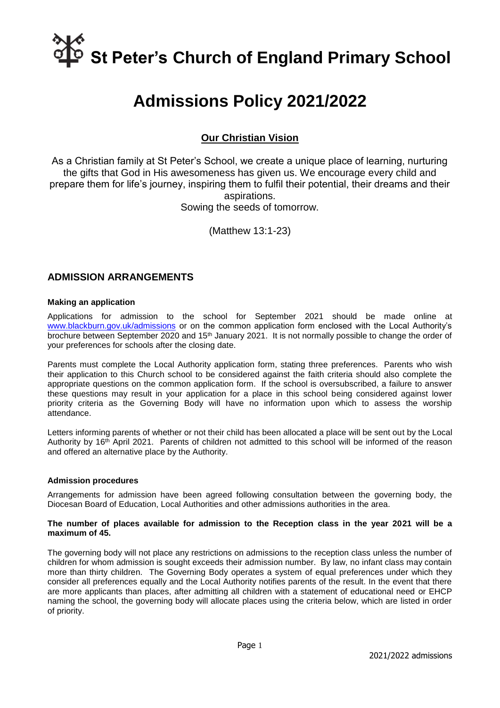# **St Peter's Church of England Primary School**

# **Admissions Policy 2021/2022**

# **Our Christian Vision**

As a Christian family at St Peter's School, we create a unique place of learning, nurturing the gifts that God in His awesomeness has given us. We encourage every child and prepare them for life's journey, inspiring them to fulfil their potential, their dreams and their aspirations. Sowing the seeds of tomorrow.

(Matthew 13:1-23)

### **ADMISSION ARRANGEMENTS**

#### **Making an application**

Applications for admission to the school for September 2021 should be made online at [www.blackburn.gov.uk/admissions](http://www.blackburn.gov.uk/admissions) or on the common application form enclosed with the Local Authority's brochure between September 2020 and 15<sup>th</sup> January 2021. It is not normally possible to change the order of your preferences for schools after the closing date.

Parents must complete the Local Authority application form, stating three preferences. Parents who wish their application to this Church school to be considered against the faith criteria should also complete the appropriate questions on the common application form. If the school is oversubscribed, a failure to answer these questions may result in your application for a place in this school being considered against lower priority criteria as the Governing Body will have no information upon which to assess the worship attendance.

Letters informing parents of whether or not their child has been allocated a place will be sent out by the Local Authority by 16<sup>th</sup> April 2021. Parents of children not admitted to this school will be informed of the reason and offered an alternative place by the Authority.

#### **Admission procedures**

Arrangements for admission have been agreed following consultation between the governing body, the Diocesan Board of Education, Local Authorities and other admissions authorities in the area.

#### **The number of places available for admission to the Reception class in the year 2021 will be a maximum of 45.**

The governing body will not place any restrictions on admissions to the reception class unless the number of children for whom admission is sought exceeds their admission number. By law, no infant class may contain more than thirty children. The Governing Body operates a system of equal preferences under which they consider all preferences equally and the Local Authority notifies parents of the result. In the event that there are more applicants than places, after admitting all children with a statement of educational need or EHCP naming the school, the governing body will allocate places using the criteria below, which are listed in order of priority.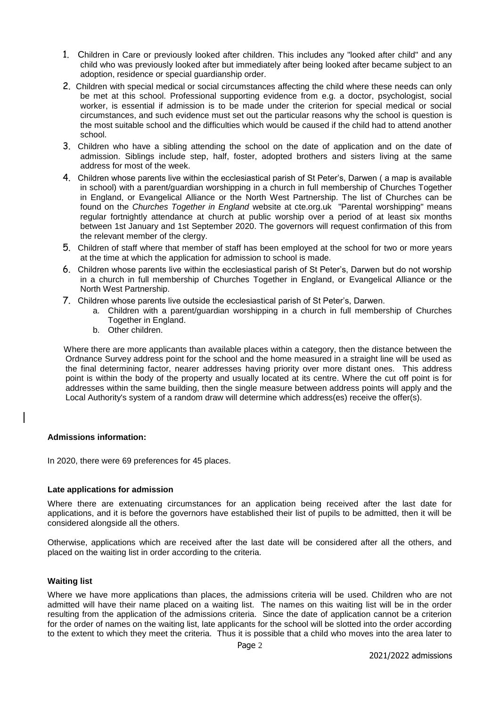- 1. Children in Care or previously looked after children. This includes any "looked after child" and any child who was previously looked after but immediately after being looked after became subject to an adoption, residence or special guardianship order.
- 2. Children with special medical or social circumstances affecting the child where these needs can only be met at this school. Professional supporting evidence from e.g. a doctor, psychologist, social worker, is essential if admission is to be made under the criterion for special medical or social circumstances, and such evidence must set out the particular reasons why the school is question is the most suitable school and the difficulties which would be caused if the child had to attend another school.
- 3. Children who have a sibling attending the school on the date of application and on the date of admission. Siblings include step, half, foster, adopted brothers and sisters living at the same address for most of the week.
- 4. Children whose parents live within the ecclesiastical parish of St Peter's, Darwen ( a map is available in school) with a parent/guardian worshipping in a church in full membership of Churches Together in England, or Evangelical Alliance or the North West Partnership. The list of Churches can be found on the *Churches Together in England* website at cte.org.uk "Parental worshipping" means regular fortnightly attendance at church at public worship over a period of at least six months between 1st January and 1st September 2020. The governors will request confirmation of this from the relevant member of the clergy.
- 5. Children of staff where that member of staff has been employed at the school for two or more years at the time at which the application for admission to school is made.
- 6. Children whose parents live within the ecclesiastical parish of St Peter's, Darwen but do not worship in a church in full membership of Churches Together in England, or Evangelical Alliance or the North West Partnership.
- 7. Children whose parents live outside the ecclesiastical parish of St Peter's, Darwen.
	- a. Children with a parent/guardian worshipping in a church in full membership of Churches Together in England.
	- b. Other children.

 Where there are more applicants than available places within a category, then the distance between the Ordnance Survey address point for the school and the home measured in a straight line will be used as the final determining factor, nearer addresses having priority over more distant ones. This address point is within the body of the property and usually located at its centre. Where the cut off point is for addresses within the same building, then the single measure between address points will apply and the Local Authority's system of a random draw will determine which address(es) receive the offer(s).

#### **Admissions information:**

In 2020, there were 69 preferences for 45 places.

#### **Late applications for admission**

Where there are extenuating circumstances for an application being received after the last date for applications, and it is before the governors have established their list of pupils to be admitted, then it will be considered alongside all the others.

Otherwise, applications which are received after the last date will be considered after all the others, and placed on the waiting list in order according to the criteria.

#### **Waiting list**

Where we have more applications than places, the admissions criteria will be used. Children who are not admitted will have their name placed on a waiting list. The names on this waiting list will be in the order resulting from the application of the admissions criteria. Since the date of application cannot be a criterion for the order of names on the waiting list, late applicants for the school will be slotted into the order according to the extent to which they meet the criteria. Thus it is possible that a child who moves into the area later to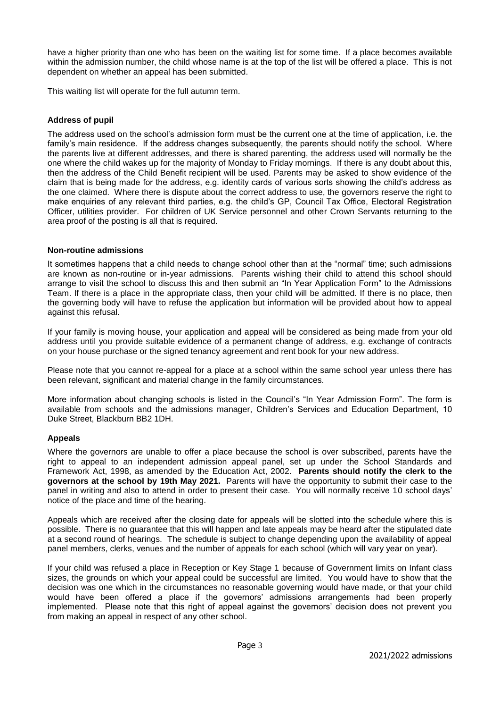have a higher priority than one who has been on the waiting list for some time. If a place becomes available within the admission number, the child whose name is at the top of the list will be offered a place. This is not dependent on whether an appeal has been submitted.

This waiting list will operate for the full autumn term.

#### **Address of pupil**

The address used on the school's admission form must be the current one at the time of application, i.e. the family's main residence. If the address changes subsequently, the parents should notify the school. Where the parents live at different addresses, and there is shared parenting, the address used will normally be the one where the child wakes up for the majority of Monday to Friday mornings. If there is any doubt about this, then the address of the Child Benefit recipient will be used. Parents may be asked to show evidence of the claim that is being made for the address, e.g. identity cards of various sorts showing the child's address as the one claimed. Where there is dispute about the correct address to use, the governors reserve the right to make enquiries of any relevant third parties, e.g. the child's GP, Council Tax Office, Electoral Registration Officer, utilities provider. For children of UK Service personnel and other Crown Servants returning to the area proof of the posting is all that is required.

#### **Non-routine admissions**

It sometimes happens that a child needs to change school other than at the "normal" time; such admissions are known as non-routine or in-year admissions. Parents wishing their child to attend this school should arrange to visit the school to discuss this and then submit an "In Year Application Form" to the Admissions Team. If there is a place in the appropriate class, then your child will be admitted. If there is no place, then the governing body will have to refuse the application but information will be provided about how to appeal against this refusal.

If your family is moving house, your application and appeal will be considered as being made from your old address until you provide suitable evidence of a permanent change of address, e.g. exchange of contracts on your house purchase or the signed tenancy agreement and rent book for your new address.

Please note that you cannot re-appeal for a place at a school within the same school year unless there has been relevant, significant and material change in the family circumstances.

More information about changing schools is listed in the Council's "In Year Admission Form". The form is available from schools and the admissions manager, Children's Services and Education Department, 10 Duke Street, Blackburn BB2 1DH.

#### **Appeals**

Where the governors are unable to offer a place because the school is over subscribed, parents have the right to appeal to an independent admission appeal panel, set up under the School Standards and Framework Act, 1998, as amended by the Education Act, 2002. **Parents should notify the clerk to the governors at the school by 19th May 2021.** Parents will have the opportunity to submit their case to the panel in writing and also to attend in order to present their case. You will normally receive 10 school days' notice of the place and time of the hearing.

Appeals which are received after the closing date for appeals will be slotted into the schedule where this is possible. There is no guarantee that this will happen and late appeals may be heard after the stipulated date at a second round of hearings. The schedule is subject to change depending upon the availability of appeal panel members, clerks, venues and the number of appeals for each school (which will vary year on year).

If your child was refused a place in Reception or Key Stage 1 because of Government limits on Infant class sizes, the grounds on which your appeal could be successful are limited. You would have to show that the decision was one which in the circumstances no reasonable governing would have made, or that your child would have been offered a place if the governors' admissions arrangements had been properly implemented. Please note that this right of appeal against the governors' decision does not prevent you from making an appeal in respect of any other school.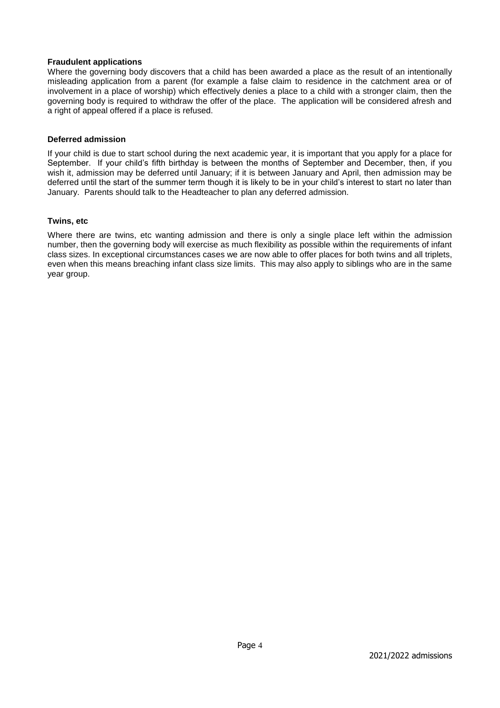#### **Fraudulent applications**

Where the governing body discovers that a child has been awarded a place as the result of an intentionally misleading application from a parent (for example a false claim to residence in the catchment area or of involvement in a place of worship) which effectively denies a place to a child with a stronger claim, then the governing body is required to withdraw the offer of the place. The application will be considered afresh and a right of appeal offered if a place is refused.

#### **Deferred admission**

If your child is due to start school during the next academic year, it is important that you apply for a place for September. If your child's fifth birthday is between the months of September and December, then, if you wish it, admission may be deferred until January; if it is between January and April, then admission may be deferred until the start of the summer term though it is likely to be in your child's interest to start no later than January. Parents should talk to the Headteacher to plan any deferred admission.

#### **Twins, etc**

Where there are twins, etc wanting admission and there is only a single place left within the admission number, then the governing body will exercise as much flexibility as possible within the requirements of infant class sizes. In exceptional circumstances cases we are now able to offer places for both twins and all triplets, even when this means breaching infant class size limits. This may also apply to siblings who are in the same year group.